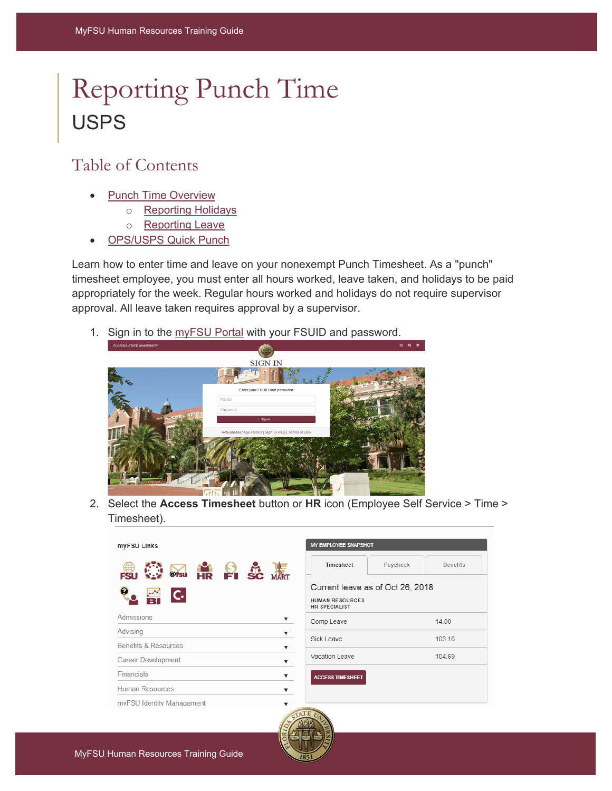# Reporting Punch Time USPS

## Table of Contents

- **[Punch Time Overview](#page-1-0)** 
	- o [Reporting Holidays](#page-2-0)
	- o [Reporting Leave](#page-3-0)
- [OPS/USPS Quick Punch](#page-4-0)

Learn how to enter time and leave on your nonexempt Punch Timesheet. As a "punch" timesheet employee, you must enter all hours worked, leave taken, and holidays to be paid appropriately for the week. Regular hours worked and holidays do not require supervisor approval. All leave taken requires approval by a supervisor.

1. Sign in to the [myFSU Portal](https://www.my.fsu.edu/) with your FSUID and password.



2. Select the **Access Timesheet** button or **HR** icon (Employee Self Service > Time > Timesheet).

| myFSU Links                                      | <b>MY EMPLOYEE SNAPSHOT</b>                                                        |                 |  |  |  |  |
|--------------------------------------------------|------------------------------------------------------------------------------------|-----------------|--|--|--|--|
| O MS HR PISC MAT                                 | Timesheet<br>Paycheck                                                              | <b>Benefits</b> |  |  |  |  |
| $\bullet$<br>$\overline{\mathsf{C}}$             | Current leave as of Oct 26, 2018<br><b>HUMAN RESOURCES</b><br><b>HR SPECIALIST</b> |                 |  |  |  |  |
| <b>Admissions</b><br>v                           | Comp Leave                                                                         | 14.00           |  |  |  |  |
| Advising<br>▼<br><b>Benefits &amp; Resources</b> | Sick Leave                                                                         | 103.16          |  |  |  |  |
| ▼<br><b>Career Development</b><br>v              | Vacation Leave                                                                     | 104.69          |  |  |  |  |
| <b>Financials</b><br>▼                           | <b>ACCESS TIMESHEET</b>                                                            |                 |  |  |  |  |
| <b>Human Resources</b>                           |                                                                                    |                 |  |  |  |  |
| myFSU Identity Management                        | <b>CATE</b>                                                                        |                 |  |  |  |  |

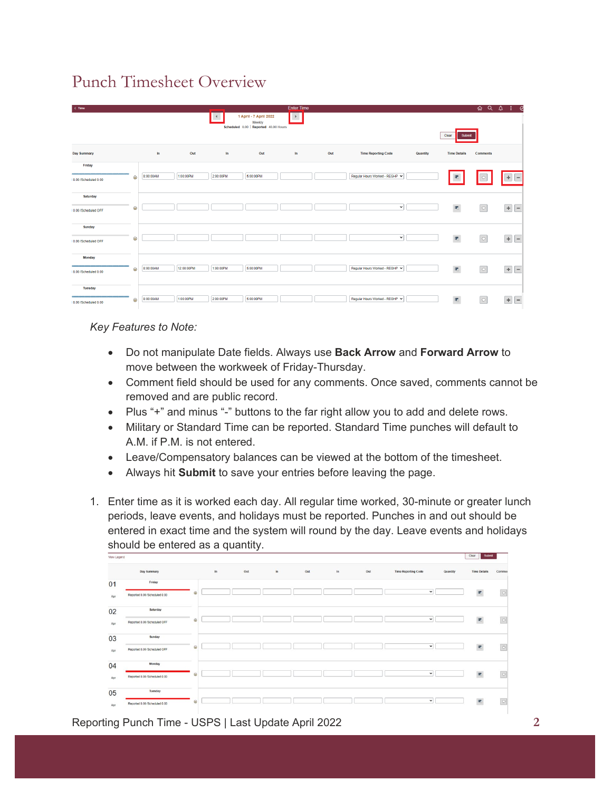# <span id="page-1-0"></span>Punch Timesheet Overview

| $\leftarrow$ Time    |         |           |            |                      |                                                                           | <b>Enter Time</b> |     |                              |          |                           | ଳ ଦ             | - 0<br>$\Delta$<br>⊕               |
|----------------------|---------|-----------|------------|----------------------|---------------------------------------------------------------------------|-------------------|-----|------------------------------|----------|---------------------------|-----------------|------------------------------------|
|                      |         |           |            | $\blacktriangleleft$ | 1 April - 7 April 2022<br>Weekly<br>Scheduled 0.00   Reported 40.00 Hours | $\rightarrow$     |     |                              |          | Clear<br>Submit           |                 |                                    |
| <b>Day Summary</b>   |         | In        | Out        | In                   | Out                                                                       | In                | Out | <b>Time Reporting Code</b>   | Quantity | <b>Time Details</b>       | <b>Comments</b> |                                    |
| Friday               |         |           |            |                      |                                                                           |                   |     |                              |          |                           |                 |                                    |
| 8.00 /Scheduled 0.00 | $\odot$ | 8:00:00AM | 1:00:00PM  | 2:00:00PM            | 5:00:00PM                                                                 |                   |     | Regular Hours Worked - REGHP |          | 星                         |                 | $\overline{a}$                     |
| Saturday             |         |           |            |                      |                                                                           |                   |     |                              |          |                           |                 |                                    |
| 10.00 /Scheduled OFF | $\odot$ |           |            |                      |                                                                           |                   |     | $\checkmark$                 |          | $\overline{u_1}$          | $\circ$         |                                    |
| Sunday               |         |           |            |                      |                                                                           |                   |     |                              |          |                           |                 |                                    |
| 10.00 /Scheduled OFF | $\odot$ |           |            |                      |                                                                           |                   |     | $\checkmark$                 |          | $\overline{w_i}$          | $\boxed{\circ}$ | $\boldsymbol{+}$<br>$\overline{a}$ |
| Monday               |         |           |            |                      |                                                                           |                   |     |                              |          |                           |                 |                                    |
| 8.00 /Scheduled 0.00 | $\odot$ | 8:00:00AM | 12:00:00PM | 1:00:00PM            | 5:00:00PM                                                                 |                   |     | Regular Hours Worked - REGHP |          | $\overline{\mathbf{w}}_i$ | $\circ$         | $\div$<br>$\overline{\phantom{a}}$ |
| Tuesday              |         |           |            |                      |                                                                           |                   |     |                              |          |                           |                 |                                    |
| 8.00 /Scheduled 0.00 | $\odot$ | 8:00:00AM | 1:00:00PM  | 2:00:00PM            | 5:00:00PM                                                                 |                   |     | Regular Hours Worked - REGHP |          | 睛                         | $\circ$         | $\pm$<br>$\overline{a}$            |

## *Key Features to Note:*

- Do not manipulate Date fields. Always use **Back Arrow** and **Forward Arrow** to move between the workweek of Friday-Thursday.
- Comment field should be used for any comments. Once saved, comments cannot be removed and are public record.
- Plus "+" and minus "-" buttons to the far right allow you to add and delete rows.
- Military or Standard Time can be reported. Standard Time punches will default to A.M. if P.M. is not entered.
- Leave/Compensatory balances can be viewed at the bottom of the timesheet.
- Always hit **Submit** to save your entries before leaving the page.
- 1. Enter time as it is worked each day. All regular time worked, 30-minute or greater lunch periods, leave events, and holidays must be reported. Punches in and out should be entered in exact time and the system will round by the day. Leave events and holidays should be entered as a quantity.

| Mew Fedeug | <b>STATE</b><br><b>Constitution</b> |         |    |     |     |     |    |     |                            |          |                         |                 |
|------------|-------------------------------------|---------|----|-----|-----|-----|----|-----|----------------------------|----------|-------------------------|-----------------|
|            | Day Summary                         |         | In | Out | In. | Out | In | Out | <b>Time Reporting Code</b> | Quantity | <b>Time Details</b>     | Commer          |
| 01         | Friday                              |         |    |     |     |     |    |     |                            |          |                         |                 |
| Apr        | Reported 0.00 /Scheduled 0.00       | $\odot$ |    |     |     |     |    |     | $\checkmark$               |          | $\overline{\mathbf{r}}$ | $\circ$         |
| 02         | Saturday                            |         |    |     |     |     |    |     |                            |          |                         |                 |
| Apr        | Reported 0.00 /Scheduled OFF        | $\odot$ |    |     |     |     |    |     | $\check{~}$                |          | 肥                       | $\circ$         |
| 03         | Sunday                              |         |    |     |     |     |    |     |                            |          |                         |                 |
| Apr        | Reported 0.00 /Scheduled OFF        | $\odot$ |    |     |     |     |    |     | $\check{~}$                |          | $\overline{x}$          | $\boxed{\circ}$ |
| 04         | Monday                              |         |    |     |     |     |    |     |                            |          |                         |                 |
| Apr        | Reported 0.00 /Scheduled 0.00       | $\odot$ |    |     |     |     |    |     | $\check{~}$                |          | $\overline{\mathbf{r}}$ | $\circ$         |
| 05         | Tuesday                             |         |    |     |     |     |    |     |                            |          |                         |                 |
| Apr        | Reported 0.00 /Scheduled 0.00       | $\odot$ |    |     |     |     |    |     | $\checkmark$               |          | 床                       | $\circ$         |

#### Reporting Punch Time - USPS | Last Update April 2022 **2**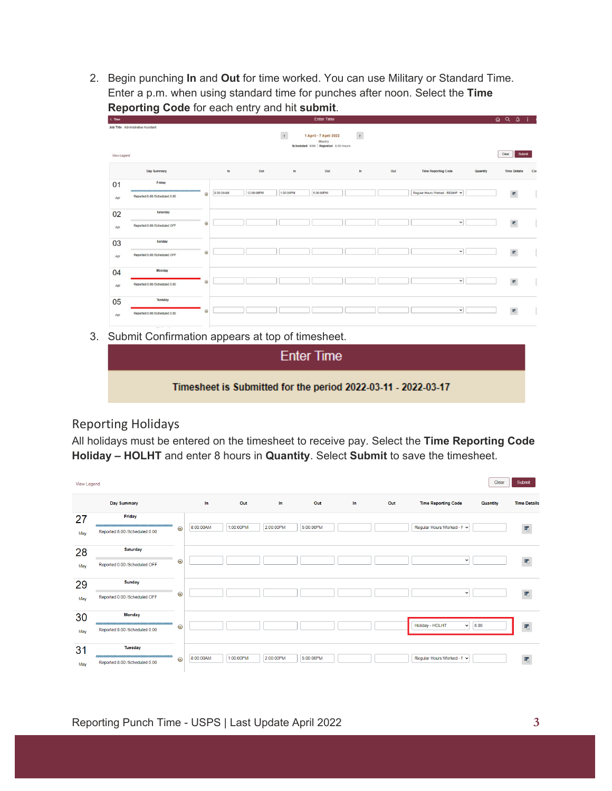2. Begin punching **In** and **Out** for time worked. You can use Military or Standard Time. Enter a p.m. when using standard time for punches after noon. Select the **Time Reporting Code** for each entry and hit **submit**.

| $C$ Time          |                                          |         |           |            |               | <b>Enter Time</b>                                                        |                       |     |                                        |       | $\begin{array}{ccc}\n\textcircled{1} & \textcircled{1} & \textcircled{2} & \textcircled{3}\n\end{array}$ |     |
|-------------------|------------------------------------------|---------|-----------|------------|---------------|--------------------------------------------------------------------------|-----------------------|-----|----------------------------------------|-------|----------------------------------------------------------------------------------------------------------|-----|
| <b>Wew Legend</b> | Job Title Administrative Assistant       |         |           |            | $\rightarrow$ | 1 April - 7 April 2022<br>Weekly<br>Scheduled 0.00   Reported 8.00 Hours | $\blacktriangleright$ |     |                                        | Clear | Submit                                                                                                   |     |
|                   | Day Summary                              |         | ln        | Out        | $\ln$         | Out                                                                      | $\ln$                 | Out | <b>Time Reporting Code</b><br>Quantity |       | <b>Time Details</b>                                                                                      | Cor |
| 01<br>Apr         | Friday<br>Reported 8.00 /Scheduled 0.00  | $\odot$ | 8:00:00AM | 12:00:00PM | 1:00:00PM     | 5:00:00PM                                                                |                       |     | Regular Hours Worked - REGHP           |       | $\overline{\mathbf{r}}$                                                                                  |     |
| 02<br>Apr         | Saturday<br>Reported 0.00 /Scheduled OFF | $\odot$ |           |            |               |                                                                          |                       |     | $\check{~}$                            |       | $\overline{w}$                                                                                           |     |
| 03<br>Apr         | Sunday<br>Reported 0.00 /Scheduled OFF   | $\odot$ |           |            |               |                                                                          |                       |     | $\check{ }$                            |       | $\overline{w}$                                                                                           |     |
| 04<br>Apr         | Monday<br>Reported 0.00 /Scheduled 0.00  | $\odot$ |           |            |               |                                                                          |                       |     | $\check{}$                             |       | $\overline{\mathbf{r}}$                                                                                  |     |
| 05<br>Apr.        | Tuesday<br>Reported 0.00 /Scheduled 0.00 | $\odot$ |           |            |               |                                                                          |                       |     | $\checkmark$                           |       | $\overline{\mathbf{r}}$                                                                                  |     |

3. Submit Confirmation appears at top of timesheet.

| <b>Enter Time</b>                                             |
|---------------------------------------------------------------|
| Timesheet is Submitted for the period 2022-03-11 - 2022-03-17 |

## <span id="page-2-0"></span>Reporting Holidays

All holidays must be entered on the timesheet to receive pay. Select the **Time Reporting Code Holiday – HOLHT** and enter 8 hours in **Quantity**. Select **Submit** to save the timesheet.

| View Legend |                                                 |         |           |           |           |           |     |     |                                 | Clear    | Submit              |
|-------------|-------------------------------------------------|---------|-----------|-----------|-----------|-----------|-----|-----|---------------------------------|----------|---------------------|
|             | Day Summary                                     |         | In.       | Out       | <b>In</b> | Out       | In. | Out | <b>Time Reporting Code</b>      | Quantity | <b>Time Details</b> |
| 27<br>May   | Friday<br>Reported 8.00 /Scheduled 0.00         | $\odot$ | 8:00:00AM | 1:00:00PM | 2:00:00PM | 5:00:00PM |     |     | Regular Hours Worked - F v      |          |                     |
| 28<br>May   | Saturday<br>Reported 0.00 /Scheduled OFF        | $\odot$ |           |           |           |           |     |     | $\checkmark$                    |          | 曘                   |
| 29<br>May   | <b>Sunday</b><br>Reported 0.00 /Scheduled OFF   | $\odot$ |           |           |           |           |     |     | $\check{~}$                     |          | 跚                   |
| 30<br>May   | <b>Monday</b><br>Reported 8.00 /Scheduled 0.00  | $\odot$ |           |           |           |           |     |     | Holiday - HOLHT<br>$\checkmark$ | 8.00     |                     |
| 31<br>May   | <b>Tuesday</b><br>Reported 8.00 /Scheduled 0.00 | $\odot$ | 8:00:00AM | 1:00:00PM | 2:00:00PM | 5:00:00PM |     |     | Regular Hours Worked - F v      |          | 睛                   |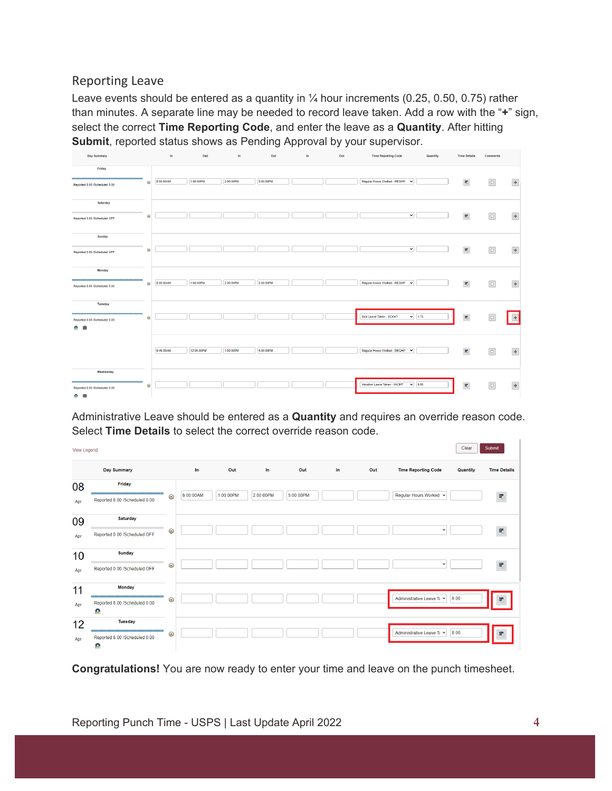## <span id="page-3-0"></span>Reporting Leave

Leave events should be entered as a quantity in  $\frac{1}{4}$  hour increments (0.25, 0.50, 0.75) rather than minutes. A separate line may be needed to record leave taken. Add a row with the "**+**" sign, select the correct **Time Reporting Code**, and enter the leave as a **Quantity**. After hitting **Submit**, reported status shows as Pending Approval by your supervisor.

| <b>Day Summary</b>                   |         | In        | Out        | In.       | Out       | In. | Out | <b>Time Reporting Code</b>                   | Quantity | <b>Time Details</b>        | <b>Comments</b> |         |
|--------------------------------------|---------|-----------|------------|-----------|-----------|-----|-----|----------------------------------------------|----------|----------------------------|-----------------|---------|
| Friday                               |         |           |            |           |           |     |     |                                              |          |                            |                 |         |
| Reported 8.00 /Scheduled 0.00        | $\odot$ | 8:00:00AM | 1:00:00PM  | 2:00:00PM | 5:00:00PM |     |     | Regular Hours Worked - REGHP<br>$\check{~}$  |          | 衢                          | $\circ$         | $\pm$   |
| Saturday                             |         |           |            |           |           |     |     |                                              |          |                            |                 |         |
| Reported 0.00 /Scheduled OFF         | $\odot$ |           |            |           |           |     |     | $\checkmark$                                 |          | 肥                          | $\circ$         | $\pm$   |
| Sunday                               |         |           |            |           |           |     |     |                                              |          |                            |                 |         |
| Reported 0.00 /Scheduled OFF         | $\odot$ |           |            |           |           |     |     | $\checkmark$                                 |          | 衢                          | $\circ$         | $\pm$   |
| <b>Monday</b>                        |         |           |            |           |           |     |     |                                              |          |                            |                 |         |
| Reported 8.00 /Scheduled 0.00        | $\odot$ | 8:00:00AM | 1:00:00PM  | 2:00:00PM | 5:00:00PM |     |     | Regular Hours Worked - REGHP<br>$\checkmark$ |          | 衢                          | $\circ$         | $\pm$   |
| Tuesday                              |         |           |            |           |           |     |     |                                              |          |                            |                 |         |
| Reported 8.00 /Scheduled 0.00        | $\odot$ |           |            |           |           |     |     | $\vee$ 1.75<br>Sick Leave Taken - SCKHT      |          | $\overline{\mathbf{r}}_i$  |                 | $\ddag$ |
| 曲<br>۰.                              |         |           |            |           |           |     |     |                                              |          |                            |                 |         |
|                                      |         | 9:45:00AM | 12:00:00PM | 1:00:00PM | 5:00:00PM |     |     | Regular Hours Worked - REGHP<br>$\checkmark$ |          | $\overline{\mathcal{R}}_1$ | $\circ$         | $\pm$   |
|                                      |         |           |            |           |           |     |     |                                              |          |                            |                 |         |
| Wednesday                            |         |           |            |           |           |     |     | $\vee$ 8.00<br>Vacation Leave Taken - VACHT  |          |                            |                 |         |
| Reported 8.00 /Scheduled 0.00<br>0.0 | $\odot$ |           |            |           |           |     |     |                                              |          | $\overline{\mathbf{r}}$    | $\circ$         | $\pm$   |
|                                      |         |           |            |           |           |     |     |                                              |          |                            |                 |         |

Administrative Leave should be entered as a **Quantity** and requires an override reason code. Select **Time Details** to select the correct override reason code.

| View Legend |                                                                                  |         |           |           |           |           |    |     |                            | Clear    | Submit              |
|-------------|----------------------------------------------------------------------------------|---------|-----------|-----------|-----------|-----------|----|-----|----------------------------|----------|---------------------|
|             | <b>Day Summary</b>                                                               |         | In.       | Out       | In.       | Out       | In | Out | <b>Time Reporting Code</b> | Quantity | <b>Time Details</b> |
| 08<br>Apr   | <b>Friday</b><br>Reported 8.00 /Scheduled 0.00                                   | $\odot$ | 8:00:00AM | 1:00:00PM | 2:00:00PM | 5:00:00PM |    |     | Regular Hours Worked Y     |          | 慶                   |
| 09<br>Apr   | <b>Saturday</b><br>Reported 0.00 /Scheduled OFF                                  | $\odot$ |           |           |           |           |    |     | v                          |          | 霥                   |
| 10<br>Apr   | <b>Sunday</b><br>Reported 0.00 /Scheduled OFF                                    | $\odot$ |           |           |           |           |    |     | $\checkmark$               |          | 慶                   |
| 11<br>Apr   | <b>Monday</b><br>unnamanananananananananan<br>Reported 8.00 /Scheduled 0.00<br>츈 | $\odot$ |           |           |           |           |    |     | Administrative Leave Tε V  | 8.00     | Е.                  |
| 12<br>Apr   | <b>Tuesday</b><br>Reported 8.00 /Scheduled 0.00<br>츈                             | $\odot$ |           |           |           |           |    |     | Administrative Leave Tε Y  | 8.00     |                     |

**Congratulations!** You are now ready to enter your time and leave on the punch timesheet.

×.